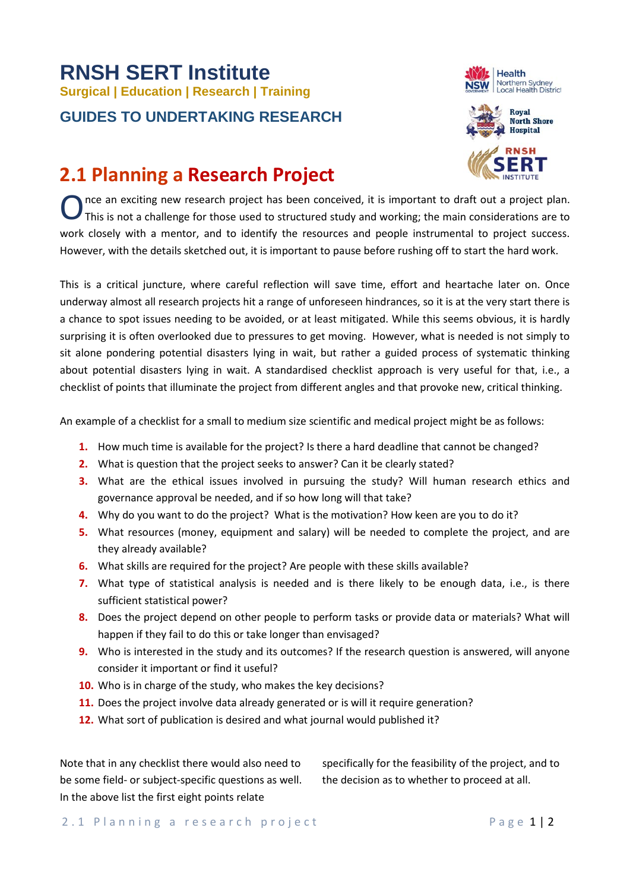## **RNSH SERT Institute Surgical <sup>|</sup> Education | Research | Training GUIDES TO UNDERTAKING RESEARCH**





## **2.1 Planning a Research Project**

nce an exciting new research project has been conceived, it is important to draft out a project plan. This is not a challenge for those used to structured study and working; the main considerations are to work closely with a mentor, and to identify the resources and people instrumental to project success. However, with the details sketched out, it is important to pause before rushing off to start the hard work. O

This is a critical juncture, where careful reflection will save time, effort and heartache later on. Once underway almost all research projects hit a range of unforeseen hindrances, so it is at the very start there is a chance to spot issues needing to be avoided, or at least mitigated. While this seems obvious, it is hardly surprising it is often overlooked due to pressures to get moving. However, what is needed is not simply to sit alone pondering potential disasters lying in wait, but rather a guided process of systematic thinking about potential disasters lying in wait. A standardised checklist approach is very useful for that, i.e., a checklist of points that illuminate the project from different angles and that provoke new, critical thinking.

An example of a checklist for a small to medium size scientific and medical project might be as follows:

- **1.** How much time is available for the project? Is there a hard deadline that cannot be changed?
- **2.** What is question that the project seeks to answer? Can it be clearly stated?
- **3.** What are the ethical issues involved in pursuing the study? Will human research ethics and governance approval be needed, and if so how long will that take?
- **4.** Why do you want to do the project? What is the motivation? How keen are you to do it?
- **5.** What resources (money, equipment and salary) will be needed to complete the project, and are they already available?
- **6.** What skills are required for the project? Are people with these skills available?
- **7.** What type of statistical analysis is needed and is there likely to be enough data, i.e., is there sufficient statistical power?
- **8.** Does the project depend on other people to perform tasks or provide data or materials? What will happen if they fail to do this or take longer than envisaged?
- **9.** Who is interested in the study and its outcomes? If the research question is answered, will anyone consider it important or find it useful?
- **10.** Who is in charge of the study, who makes the key decisions?
- **11.** Does the project involve data already generated or is will it require generation?
- **12.** What sort of publication is desired and what journal would published it?

Note that in any checklist there would also need to be some field- or subject-specific questions as well. In the above list the first eight points relate

specifically for the feasibility of the project, and to the decision as to whether to proceed at all.